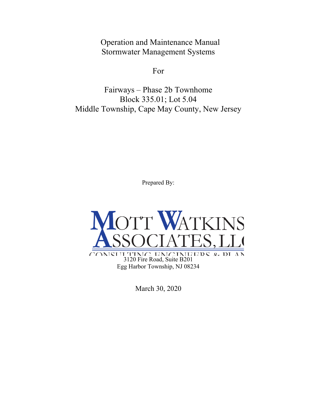Operation and Maintenance Manual Stormwater Management Systems

For

Fairways – Phase 2b Townhome Block 335.01; Lot 5.04 Middle Township, Cape May County, New Jersey

Prepared By:



March 30, 2020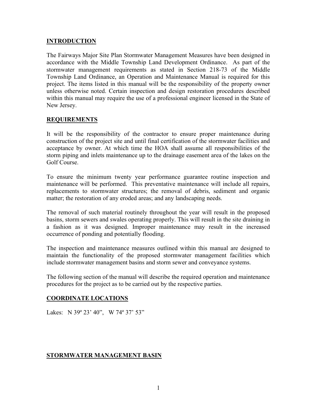#### **INTRODUCTION**

The Fairways Major Site Plan Stormwater Management Measures have been designed in accordance with the Middle Township Land Development Ordinance. As part of the stormwater management requirements as stated in Section 218-73 of the Middle Township Land Ordinance, an Operation and Maintenance Manual is required for this project. The items listed in this manual will be the responsibility of the property owner unless otherwise noted. Certain inspection and design restoration procedures described within this manual may require the use of a professional engineer licensed in the State of New Jersey.

#### REQUIREMENTS

It will be the responsibility of the contractor to ensure proper maintenance during construction of the project site and until final certification of the stormwater facilities and acceptance by owner. At which time the HOA shall assume all responsibilities of the storm piping and inlets maintenance up to the drainage easement area of the lakes on the Golf Course.

To ensure the minimum twenty year performance guarantee routine inspection and maintenance will be performed. This preventative maintenance will include all repairs, replacements to stormwater structures; the removal of debris, sediment and organic matter; the restoration of any eroded areas; and any landscaping needs.

The removal of such material routinely throughout the year will result in the proposed basins, storm sewers and swales operating properly. This will result in the site draining in a fashion as it was designed. Improper maintenance may result in the increased occurrence of ponding and potentially flooding.

The inspection and maintenance measures outlined within this manual are designed to maintain the functionality of the proposed stormwater management facilities which include stormwater management basins and storm sewer and conveyance systems.

The following section of the manual will describe the required operation and maintenance procedures for the project as to be carried out by the respective parties.

## COORDINATE LOCATIONS

Lakes: N 39° 23' 40", W 74° 37' 53"

#### STORMWATER MANAGEMENT BASIN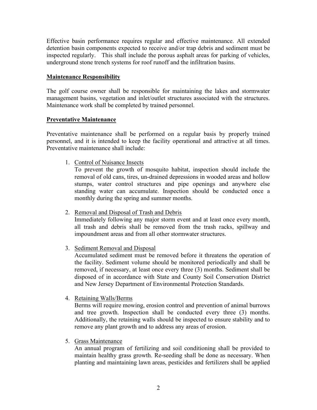Effective basin performance requires regular and effective maintenance. All extended detention basin components expected to receive and/or trap debris and sediment must be inspected regularly. This shall include the porous asphalt areas for parking of vehicles, underground stone trench systems for roof runoff and the infiltration basins.

### Maintenance Responsibility

The golf course owner shall be responsible for maintaining the lakes and stormwater management basins, vegetation and inlet/outlet structures associated with the structures. Maintenance work shall be completed by trained personnel.

#### Preventative Maintenance

Preventative maintenance shall be performed on a regular basis by properly trained personnel, and it is intended to keep the facility operational and attractive at all times. Preventative maintenance shall include:

1. Control of Nuisance Insects

To prevent the growth of mosquito habitat, inspection should include the removal of old cans, tires, un-drained depressions in wooded areas and hollow stumps, water control structures and pipe openings and anywhere else standing water can accumulate. Inspection should be conducted once a monthly during the spring and summer months.

2. Removal and Disposal of Trash and Debris

Immediately following any major storm event and at least once every month, all trash and debris shall be removed from the trash racks, spillway and impoundment areas and from all other stormwater structures.

3. Sediment Removal and Disposal

Accumulated sediment must be removed before it threatens the operation of the facility. Sediment volume should be monitored periodically and shall be removed, if necessary, at least once every three (3) months. Sediment shall be disposed of in accordance with State and County Soil Conservation District and New Jersey Department of Environmental Protection Standards.

4. Retaining Walls/Berms

Berms will require mowing, erosion control and prevention of animal burrows and tree growth. Inspection shall be conducted every three (3) months. Additionally, the retaining walls should be inspected to ensure stability and to remove any plant growth and to address any areas of erosion.

5. Grass Maintenance

An annual program of fertilizing and soil conditioning shall be provided to maintain healthy grass growth. Re-seeding shall be done as necessary. When planting and maintaining lawn areas, pesticides and fertilizers shall be applied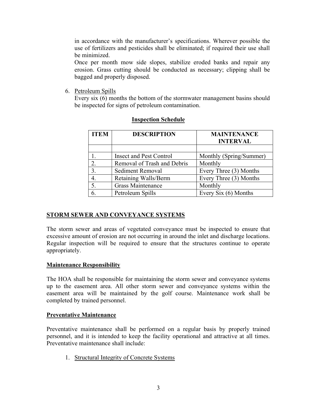in accordance with the manufacturer's specifications. Wherever possible the use of fertilizers and pesticides shall be eliminated; if required their use shall be minimized.

Once per month mow side slopes, stabilize eroded banks and repair any erosion. Grass cutting should be conducted as necessary; clipping shall be bagged and properly disposed.

6. Petroleum Spills

Every six (6) months the bottom of the stormwater management basins should be inspected for signs of petroleum contamination.

| <b>ITEM</b> | <b>DESCRIPTION</b>             | <b>MAINTENANCE</b><br><b>INTERVAL</b> |
|-------------|--------------------------------|---------------------------------------|
|             |                                |                                       |
|             | <b>Insect and Pest Control</b> | Monthly (Spring/Summer)               |
| 2.          | Removal of Trash and Debris    | Monthly                               |
| 3.          | <b>Sediment Removal</b>        | Every Three (3) Months                |
| 4.          | Retaining Walls/Berm           | Every Three (3) Months                |
| 5.          | <b>Grass Maintenance</b>       | Monthly                               |
|             | Petroleum Spills               | Every Six (6) Months                  |

## Inspection Schedule

# STORM SEWER AND CONVEYANCE SYSTEMS

The storm sewer and areas of vegetated conveyance must be inspected to ensure that excessive amount of erosion are not occurring in around the inlet and discharge locations. Regular inspection will be required to ensure that the structures continue to operate appropriately.

## Maintenance Responsibility

The HOA shall be responsible for maintaining the storm sewer and conveyance systems up to the easement area. All other storm sewer and conveyance systems within the easement area will be maintained by the golf course. Maintenance work shall be completed by trained personnel.

## Preventative Maintenance

Preventative maintenance shall be performed on a regular basis by properly trained personnel, and it is intended to keep the facility operational and attractive at all times. Preventative maintenance shall include:

1. Structural Integrity of Concrete Systems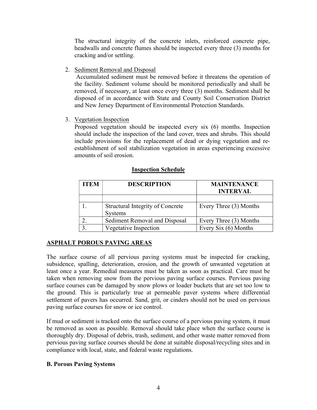The structural integrity of the concrete inlets, reinforced concrete pipe, headwalls and concrete flumes should be inspected every three (3) months for cracking and/or settling.

2. Sediment Removal and Disposal

 Accumulated sediment must be removed before it threatens the operation of the facility. Sediment volume should be monitored periodically and shall be removed, if necessary, at least once every three (3) months. Sediment shall be disposed of in accordance with State and County Soil Conservation District and New Jersey Department of Environmental Protection Standards.

3. Vegetation Inspection

Proposed vegetation should be inspected every six (6) months. Inspection should include the inspection of the land cover, trees and shrubs. This should include provisions for the replacement of dead or dying vegetation and reestablishment of soil stabilization vegetation in areas experiencing excessive amounts of soil erosion.

| <b>ITEM</b> | <b>DESCRIPTION</b>                                 | <b>MAINTENANCE</b><br><b>INTERVAL</b> |
|-------------|----------------------------------------------------|---------------------------------------|
|             |                                                    |                                       |
|             | Structural Integrity of Concrete<br><b>Systems</b> | Every Three (3) Months                |
|             | Sediment Removal and Disposal                      | Every Three (3) Months                |
|             | Vegetative Inspection                              | Every Six $(6)$ Months                |

#### Inspection Schedule

# ASPHALT POROUS PAVING AREAS

The surface course of all pervious paving systems must be inspected for cracking, subsidence, spalling, deterioration, erosion, and the growth of unwanted vegetation at least once a year. Remedial measures must be taken as soon as practical. Care must be taken when removing snow from the pervious paving surface courses. Pervious paving surface courses can be damaged by snow plows or loader buckets that are set too low to the ground. This is particularly true at permeable paver systems where differential settlement of pavers has occurred. Sand, grit, or cinders should not be used on pervious paving surface courses for snow or ice control.

If mud or sediment is tracked onto the surface course of a pervious paving system, it must be removed as soon as possible. Removal should take place when the surface course is thoroughly dry. Disposal of debris, trash, sediment, and other waste matter removed from pervious paving surface courses should be done at suitable disposal/recycling sites and in compliance with local, state, and federal waste regulations.

## B. Porous Paving Systems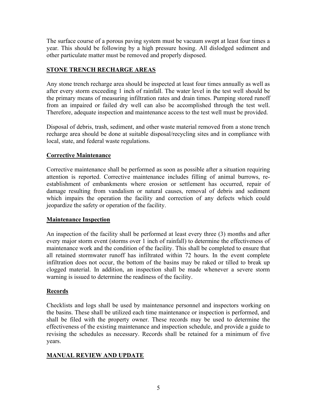The surface course of a porous paving system must be vacuum swept at least four times a year. This should be following by a high pressure hosing. All dislodged sediment and other particulate matter must be removed and properly disposed.

## STONE TRENCH RECHARGE AREAS

Any stone trench recharge area should be inspected at least four times annually as well as after every storm exceeding 1 inch of rainfall. The water level in the test well should be the primary means of measuring infiltration rates and drain times. Pumping stored runoff from an impaired or failed dry well can also be accomplished through the test well. Therefore, adequate inspection and maintenance access to the test well must be provided.

Disposal of debris, trash, sediment, and other waste material removed from a stone trench recharge area should be done at suitable disposal/recycling sites and in compliance with local, state, and federal waste regulations.

## Corrective Maintenance

Corrective maintenance shall be performed as soon as possible after a situation requiring attention is reported. Corrective maintenance includes filling of animal burrows, reestablishment of embankments where erosion or settlement has occurred, repair of damage resulting from vandalism or natural causes, removal of debris and sediment which impairs the operation the facility and correction of any defects which could jeopardize the safety or operation of the facility.

## Maintenance Inspection

An inspection of the facility shall be performed at least every three (3) months and after every major storm event (storms over 1 inch of rainfall) to determine the effectiveness of maintenance work and the condition of the facility. This shall be completed to ensure that all retained stormwater runoff has infiltrated within 72 hours. In the event complete infiltration does not occur, the bottom of the basins may be raked or tilled to break up clogged material. In addition, an inspection shall be made whenever a severe storm warning is issued to determine the readiness of the facility.

## Records

Checklists and logs shall be used by maintenance personnel and inspectors working on the basins. These shall be utilized each time maintenance or inspection is performed, and shall be filed with the property owner. These records may be used to determine the effectiveness of the existing maintenance and inspection schedule, and provide a guide to revising the schedules as necessary. Records shall be retained for a minimum of five years.

# MANUAL REVIEW AND UPDATE